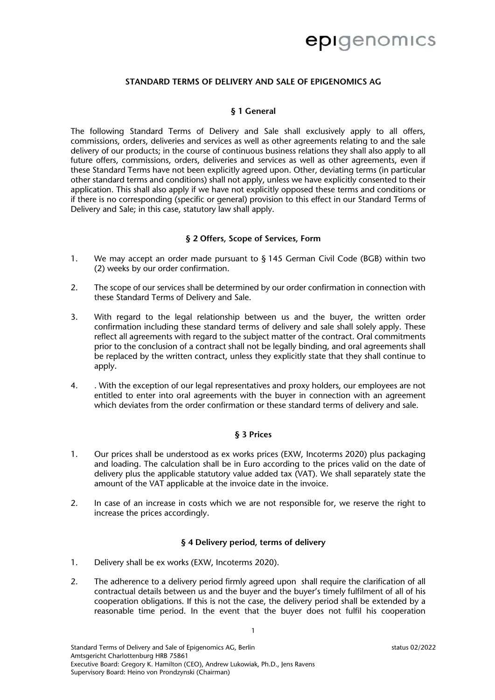# epigenomics

#### **STANDARD TERMS OF DELIVERY AND SALE OF EPIGENOMICS AG**

#### **§ 1 General**

The following Standard Terms of Delivery and Sale shall exclusively apply to all offers, commissions, orders, deliveries and services as well as other agreements relating to and the sale delivery of our products; in the course of continuous business relations they shall also apply to all future offers, commissions, orders, deliveries and services as well as other agreements, even if these Standard Terms have not been explicitly agreed upon. Other, deviating terms (in particular other standard terms and conditions) shall not apply, unless we have explicitly consented to their application. This shall also apply if we have not explicitly opposed these terms and conditions or if there is no corresponding (specific or general) provision to this effect in our Standard Terms of Delivery and Sale; in this case, statutory law shall apply.

#### **§ 2 Offers, Scope of Services, Form**

- 1. We may accept an order made pursuant to § 145 German Civil Code (BGB) within two (2) weeks by our order confirmation.
- 2. The scope of our services shall be determined by our order confirmation in connection with these Standard Terms of Delivery and Sale.
- 3. With regard to the legal relationship between us and the buyer, the written order confirmation including these standard terms of delivery and sale shall solely apply. These reflect all agreements with regard to the subject matter of the contract. Oral commitments prior to the conclusion of a contract shall not be legally binding, and oral agreements shall be replaced by the written contract, unless they explicitly state that they shall continue to apply.
- 4. . With the exception of our legal representatives and proxy holders, our employees are not entitled to enter into oral agreements with the buyer in connection with an agreement which deviates from the order confirmation or these standard terms of delivery and sale.

### **§ 3 Prices**

- 1. Our prices shall be understood as ex works prices (EXW, Incoterms 2020) plus packaging and loading. The calculation shall be in Euro according to the prices valid on the date of delivery plus the applicable statutory value added tax (VAT). We shall separately state the amount of the VAT applicable at the invoice date in the invoice.
- 2. In case of an increase in costs which we are not responsible for, we reserve the right to increase the prices accordingly.

#### **§ 4 Delivery period, terms of delivery**

- 1. Delivery shall be ex works (EXW, Incoterms 2020).
- 2. The adherence to a delivery period firmly agreed upon shall require the clarification of all contractual details between us and the buyer and the buyer's timely fulfilment of all of his cooperation obligations. If this is not the case, the delivery period shall be extended by a reasonable time period. In the event that the buyer does not fulfil his cooperation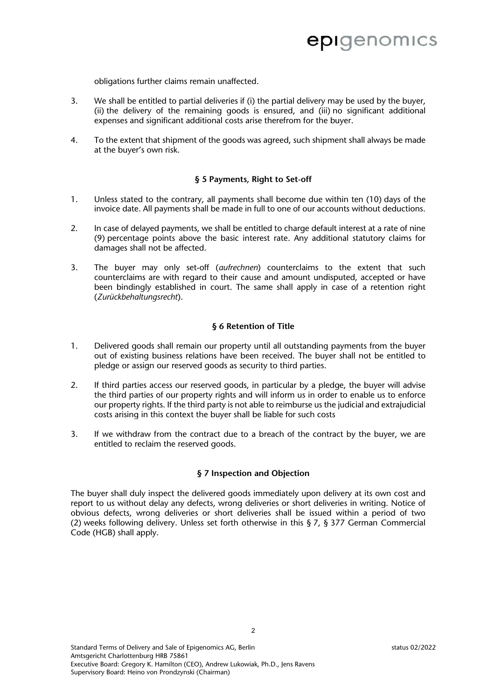obligations further claims remain unaffected.

- 3. We shall be entitled to partial deliveries if (i) the partial delivery may be used by the buyer, (ii) the delivery of the remaining goods is ensured, and (iii) no significant additional expenses and significant additional costs arise therefrom for the buyer.
- 4. To the extent that shipment of the goods was agreed, such shipment shall always be made at the buyer's own risk.

### **§ 5 Payments, Right to Set-off**

- 1. Unless stated to the contrary, all payments shall become due within ten (10) days of the invoice date. All payments shall be made in full to one of our accounts without deductions.
- 2. In case of delayed payments, we shall be entitled to charge default interest at a rate of nine (9) percentage points above the basic interest rate. Any additional statutory claims for damages shall not be affected.
- 3. The buyer may only set-off (*aufrechnen*) counterclaims to the extent that such counterclaims are with regard to their cause and amount undisputed, accepted or have been bindingly established in court. The same shall apply in case of a retention right (*Zurückbehaltungsrecht*).

#### **§ 6 Retention of Title**

- 1. Delivered goods shall remain our property until all outstanding payments from the buyer out of existing business relations have been received. The buyer shall not be entitled to pledge or assign our reserved goods as security to third parties.
- 2. If third parties access our reserved goods, in particular by a pledge, the buyer will advise the third parties of our property rights and will inform us in order to enable us to enforce our property rights. If the third party is not able to reimburse us the judicial and extrajudicial costs arising in this context the buyer shall be liable for such costs
- 3. If we withdraw from the contract due to a breach of the contract by the buyer, we are entitled to reclaim the reserved goods.

#### **§ 7 Inspection and Objection**

The buyer shall duly inspect the delivered goods immediately upon delivery at its own cost and report to us without delay any defects, wrong deliveries or short deliveries in writing. Notice of obvious defects, wrong deliveries or short deliveries shall be issued within a period of two (2) weeks following delivery. Unless set forth otherwise in this § 7, § 377 German Commercial Code (HGB) shall apply.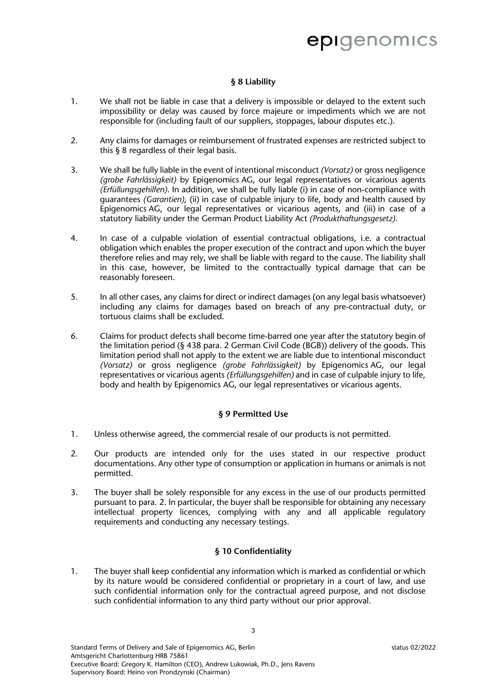# epigenomics

### **§ 8 Liability**

- 1. We shall not be liable in case that a delivery is impossible or delayed to the extent such impossibility or delay was caused by force majeure or impediments which we are not responsible for (including fault of our suppliers, stoppages, labour disputes etc.).
- 2. Any claims for damages or reimbursement of frustrated expenses are restricted subject to this § 8 regardless of their legal basis.
- 3. We shall be fully liable in the event of intentional misconduct *(Vorsatz)* or gross negligence *(grobe Fahrlässigkeit)* by Epigenomics AG, our legal representatives or vicarious agents *(Erfüllungsgehilfen)*. In addition, we shall be fully liable (i) in case of non-compliance with guarantees *(Garantien)*, (ii) in case of culpable injury to life, body and health caused by Epigenomics AG, our legal representatives or vicarious agents, and (iii) in case of a statutory liability under the German Product Liability Act *(Produkthaftungsgesetz)*.
- 4. In case of a culpable violation of essential contractual obligations, i.e. a contractual obligation which enables the proper execution of the contract and upon which the buyer therefore relies and may rely, we shall be liable with regard to the cause. The liability shall in this case, however, be limited to the contractually typical damage that can be reasonably foreseen.
- 5. In all other cases, any claims for direct or indirect damages (on any legal basis whatsoever) including any claims for damages based on breach of any pre-contractual duty, or tortuous claims shall be excluded.
- 6. Claims for product defects shall become time-barred one year after the statutory begin of the limitation period (§ 438 para. 2 German Civil Code (BGB)) delivery of the goods. This limitation period shall not apply to the extent we are liable due to intentional misconduct *(Vorsatz)* or gross negligence *(grobe Fahrlässigkeit)* by Epigenomics AG, our legal representatives or vicarious agents *(Erfüllungsgehilfen)* and in case of culpable injury to life, body and health by Epigenomics AG, our legal representatives or vicarious agents.

## **§ 9 Permitted Use**

- 1. Unless otherwise agreed, the commercial resale of our products is not permitted.
- 2. Our products are intended only for the uses stated in our respective product documentations. Any other type of consumption or application in humans or animals is not permitted.
- 3. The buyer shall be solely responsible for any excess in the use of our products permitted pursuant to para. 2. In particular, the buyer shall be responsible for obtaining any necessary intellectual property licences, complying with any and all applicable regulatory requirements and conducting any necessary testings.

## **§ 10 Confidentiality**

1. The buyer shall keep confidential any information which is marked as confidential or which by its nature would be considered confidential or proprietary in a court of law, and use such confidential information only for the contractual agreed purpose, and not disclose such confidential information to any third party without our prior approval.